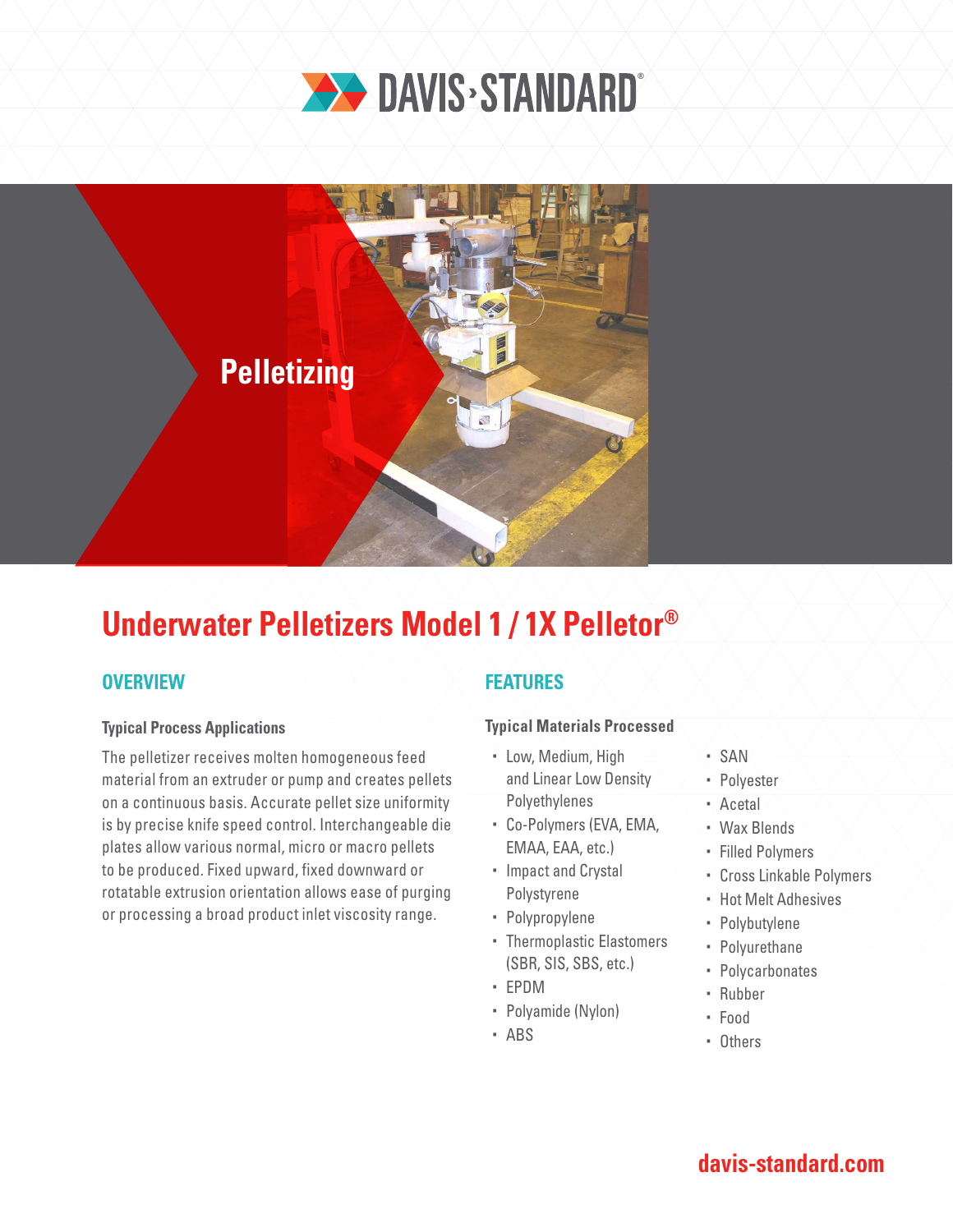



# **Underwater Pelletizers Model 1 / 1X Pelletor®**

## **OVERVIEW**

### **Typical Process Applications**

The pelletizer receives molten homogeneous feed material from an extruder or pump and creates pellets on a continuous basis. Accurate pellet size uniformity is by precise knife speed control. Interchangeable die plates allow various normal, micro or macro pellets to be produced. Fixed upward, fixed downward or rotatable extrusion orientation allows ease of purging or processing a broad product inlet viscosity range.

## **FEATURES**

### **Typical Materials Processed**

- Low, Medium, High and Linear Low Density Polyethylenes
- Co-Polymers (EVA, EMA, EMAA, EAA, etc.)
- Impact and Crystal Polystyrene
- Polypropylene
- Thermoplastic Elastomers (SBR, SIS, SBS, etc.)
- EPDM
- Polyamide (Nylon)
- ABS
- SAN
- · Polvester
- Acetal
- Wax Blends
- Filled Polymers
- Cross Linkable Polymers
- Hot Melt Adhesives
- Polybutylene
- Polyurethane
- Polycarbonates
- Rubber
- Food
- Others

# **davis-standard.com**